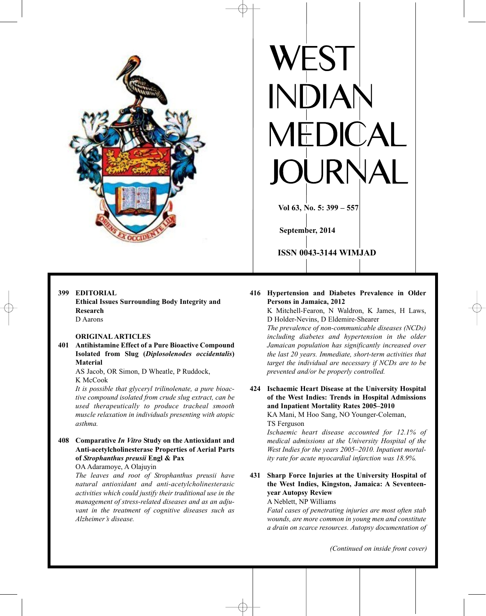

## **399 EDITORIAL**

**Ethical Issues Surrounding Body Integrity and Research** D Aarons

## **ORIGINAL ARTICLES**

**401 Antihistamine Effect of a Pure Bioactive Compound Isolated from Slug (***Diplosolenodes occidentalis***) Material**

AS Jacob, OR Simon, D Wheatle, P Ruddock, K McCook

*It is possible that glyceryl trilinolenate, a pure bioactive compound isolated from crude slug extract, can be used therapeutically to produce tracheal smooth muscle relaxation in individuals presenting with atopic asthma.*

# **408 Comparative** *In Vitro* **Study on the Antioxidant and Anti-acetylcholinesterase Properties of Aerial Parts of** *Strophanthus preusii* **Engl & Pax**

OA Adaramoye, A Olajuyin

*The leaves and root of Strophanthus preusii have natural antioxidant and anti-acetylcholinesterasic activities which could justify their traditional use in the management of stress-related diseases and as an adjuvant in the treatment of cognitive diseases such as Alzheimer's disease.*

# **416 Hypertension and Diabetes Prevalence in Older Persons in Jamaica, 2012**

**RP** 

**Vol 63, No. 5: 399 – 557**

**ISSN 0043-3144 WIMJAD**

**September, 2014**

K Mitchell-Fearon, N Waldron, K James, H Laws, D Holder-Nevins, D Eldemire-Shearer

*The prevalence of non-communicable diseases (NCDs) including diabetes and hypertension in the older Jamaican population has significantly increased over the last 20 years. Immediate, short-term activities that target the individual are necessary if NCDs are to be prevented and/or be properly controlled.*

**424 Ischaemic Heart Disease at the University Hospital of the West Indies: Trends in Hospital Admissions and Inpatient Mortality Rates 2005–2010** KA Mani, M Hoo Sang, NO Younger-Coleman,

TS Ferguson

*Ischaemic heart disease accounted for 12.1% of medical admissions at the University Hospital of the West Indies for the years 2005–2010. Inpatient mortality rate for acute myocardial infarction was 18.9%.*

**431 Sharp Force Injuries at the University Hospital of the West Indies, Kingston, Jamaica: A Seventeenyear Autopsy Review**

A Neblett, NP Williams

*Fatal cases of penetrating injuries are most often stab wounds, are more common in young men and constitute a drain on scarce resources. Autopsy documentation of*

*(Continued on inside front cover)*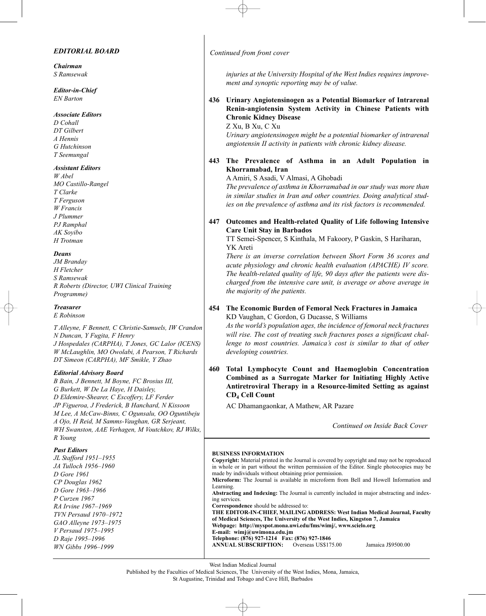## *EDITORIAL BOARD*

*Chairman S Ramsewak*

*Editor-in-Chief EN Barton*

#### *Associate Editors*

*D Cohall DT Gilbert A Hennis G Hutchinson T Seemungal*

#### *Assistant Editors*

*W Abel MO Castillo-Rangel T Clarke T Ferguson W Francis J Plummer PJ Ramphal AK Soyibo H Trotman*

### *Deans*

*JM Branday H Fletcher S Ramsewak R Roberts (Director, UWI Clinical Training Programme)*

## *Treasurer*

*E Robinson*

*T Alleyne, F Bennett, C Christie-Samuels, IW Crandon N Duncan, Y Fugita, F Henry J Hospedales (CARPHA), T Jones, GC Lalor (ICENS) W McLaughlin, MO Owolabi, A Pearson, T Richards DT Simeon (CARPHA), MF Smikle, Y Zhao*

#### *Editorial Advisory Board*

*B Bain, J Bennett, M Boyne, FC Brosius III, G Burkett, W De La Haye, H Daisley, D Eldemire-Shearer, C Escoffery, LF Ferder JP Figueroa, J Frederick, B Hanchard, N Kissoon M Lee, A McCaw-Binns, C Ogunsalu, OO Oguntibeju A Ojo, H Reid, M Samms-Vaughan, GR Serjeant, WH Swanston, AAE Verhagen, M Voutchkov, RJ Wilks, R Young*

#### *Past Editors*

*JL Stafford 1951–1955 JA Tulloch 1956–1960 D Gore 1961 CP Douglas 1962 D Gore 1963–1966 P Curzen 1967 RA Irvine 1967–1969 TVN Persaud 1970–1972 GAO Alleyne 1973–1975 V Persaud 1975–1995 D Raje 1995–1996 WN Gibbs 1996–1999*

*Continued from front cover*

*injuries at the University Hospital of the West Indies requires improvement and synoptic reporting may be of value.*

# **436 Urinary Angiotensinogen as a Potential Biomarker of Intrarenal Renin-angiotensin System Activity in Chinese Patients with Chronic Kidney Disease**

Z Xu, B Xu, C Xu

*Urinary angiotensinogen might be a potential biomarker of intrarenal angiotensin II activity in patients with chronic kidney disease.*

**443 The Prevalence of Asthma in an Adult Population in Khorramabad, Iran**

A Amiri, S Asadi, V Almasi, A Ghobadi

*The prevalence of asthma in Khorramabad in our study was more than in similar studies in Iran and other countries. Doing analytical studies on the prevalence of asthma and its risk factors is recommended.*

# **447 Outcomes and Health-related Quality of Life following Intensive Care Unit Stay in Barbados**

TT Semei-Spencer, S Kinthala, M Fakoory, P Gaskin, S Hariharan, YK Areti

*There is an inverse correlation between Short Form 36 scores and acute physiology and chronic health evaluation (APACHE) IV score. The health-related quality of life, 90 days after the patients were discharged from the intensive care unit, is average or above average in the majority of the patients.*

## **454 The Economic Burden of Femoral Neck Fractures in Jamaica** KD Vaughan, C Gordon, G Ducasse, S Williams

*As the world's population ages, the incidence of femoral neck fractures will rise. The cost of treating such fractures poses a significant challenge to most countries. Jamaica's cost is similar to that of other developing countries.*

**460 Total Lymphocyte Count and Haemoglobin Concentration Combined as a Surrogate Marker for Initiating Highly Active Antiretroviral Therapy in a Resource-limited Setting as against CD4 Cell Count**

AC Dhamangaonkar, A Mathew, AR Pazare

*Continued on Inside Back Cover*

#### **BUSINESS INFORMATION**

**Copyright:** Material printed in the Journal is covered by copyright and may not be reproduced in whole or in part without the written permission of the Editor. Single photocopies may be made by individuals without obtaining prior permission. **Microform:** The Journal is available in microform from Bell and Howell Information and Learning. **Abstracting and Indexing:** The Journal is currently included in major abstracting and indexing services. **Correspondence** should be addressed to: **THE EDITOR-IN-CHIEF, MAILING ADDRESS: West Indian Medical Journal, Faculty of Medical Sciences, The University of the West Indies, Kingston 7, Jamaica Webpage: http://myspot.mona.uwi.edu/fms/wimj/, www.scielo.org E-mail: wimj@uwimona.edu.jm Telephone: (876) 927-1214 Fax: (876) 927-1846 ANNUAL SUBSCRIPTION:** Overseas US\$175.00 Jamaica J\$9500.00

West Indian Medical Journal

#### Published by the Faculties of Medical Sciences, The University of the West Indies, Mona, Jamaica, St Augustine, Trinidad and Tobago and Cave Hill, Barbados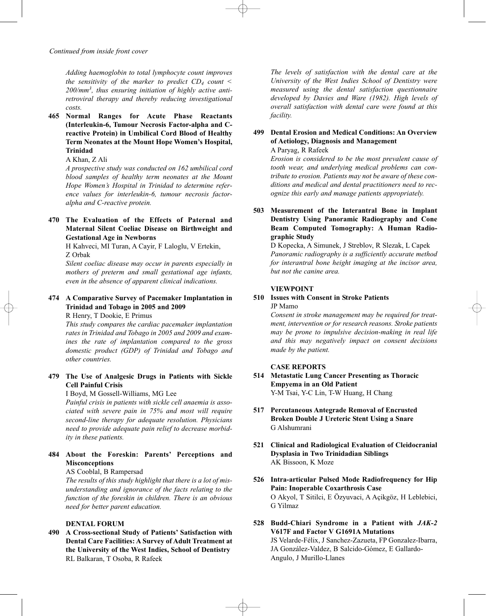*Adding haemoglobin to total lymphocyte count improves the sensitivity of the marker to predict*  $CD_4$  *count < 200/mm3, thus ensuring initiation of highly active antiretroviral therapy and thereby reducing investigational costs.*

**465 Normal Ranges for Acute Phase Reactants (Interleukin-6, Tumour Necrosis Factor-alpha and Creactive Protein) in Umbilical Cord Blood of Healthy Term Neonates at the Mount Hope Women's Hospital, Trinidad**

## A Khan, Z Ali

*A prospective study was conducted on 162 umbilical cord blood samples of healthy term neonates at the Mount Hope Women's Hospital in Trinidad to determine reference values for interleukin-6, tumour necrosis factoralpha and C-reactive protein.*

# **470 The Evaluation of the Effects of Paternal and Maternal Silent Coeliac Disease on Birthweight and Gestational Age in Newborns**

H Kahveci, MI Turan, A Cayir, F Laloglu, V Ertekin, Z Orbak

*Silent coeliac disease may occur in parents especially in mothers of preterm and small gestational age infants, even in the absence of apparent clinical indications.*

# **474 A Comparative Survey of Pacemaker Implantation in Trinidad and Tobago in 2005 and 2009**

R Henry, T Dookie, E Primus

*This study compares the cardiac pacemaker implantation rates in Trinidad and Tobago in 2005 and 2009 and examines the rate of implantation compared to the gross domestic product (GDP) of Trinidad and Tobago and other countries.*

# **479 The Use of Analgesic Drugs in Patients with Sickle Cell Painful Crisis**

I Boyd, M Gossell-Williams, MG Lee

*Painful crisis in patients with sickle cell anaemia is associated with severe pain in 75% and most will require second-line therapy for adequate resolution. Physicians need to provide adequate pain relief to decrease morbidity in these patients.*

# **484 About the Foreskin: Parents' Perceptions and Misconceptions**

## AS Cooblal, B Rampersad

*The results of this study highlight that there is a lot of misunderstanding and ignorance of the facts relating to the function of the foreskin in children. There is an obvious need for better parent education.*

## **DENTAL FORUM**

**490 A Cross-sectional Study of Patients' Satisfaction with Dental Care Facilities: A Survey of Adult Treatment at the University of the West Indies, School of Dentistry** RL Balkaran, T Osoba, R Rafeek

*The levels of satisfaction with the dental care at the University of the West Indies School of Dentistry were measured using the dental satisfaction questionnaire developed by Davies and Ware (1982). High levels of overall satisfaction with dental care were found at this facility.*

# **499 Dental Erosion and Medical Conditions: An Overview of Aetiology, Diagnosis and Management** A Paryag, R Rafeek

*Erosion is considered to be the most prevalent cause of tooth wear, and underlying medical problems can contribute to erosion. Patients may not be aware of these conditions and medical and dental practitioners need to recognize this early and manage patients appropriately.*

# **503 Measurement of the Interantral Bone in Implant Dentistry Using Panoramic Radiography and Cone Beam Computed Tomography: A Human Radiographic Study**

D Kopecka, A Simunek, J Streblov, R Slezak, L Capek *Panoramic radiography is a sufficiently accurate method for interantral bone height imaging at the incisor area, but not the canine area.*

## **VIEWPOINT**

# **510 Issues with Consent in Stroke Patients**

JP Mamo

*Consent in stroke management may be required for treatment, intervention or for research reasons. Stroke patients may be prone to impulsive decision-making in real life and this may negatively impact on consent decisions made by the patient.*

### **CASE REPORTS**

- **514 Metastatic Lung Cancer Presenting as Thoracic Empyema in an Old Patient** Y-M Tsai, Y-C Lin, T-W Huang, H Chang
- **517 Percutaneous Antegrade Removal of Encrusted Broken Double J Ureteric Stent Using a Snare** G Alshumrani
- **521 Clinical and Radiological Evaluation of Cleidocranial Dysplasia in Two Trinidadian Siblings** AK Bissoon, K Moze
- **526 Intra-articular Pulsed Mode Radiofrequency for Hip Pain: Inoperable Coxarthrosis Case** O Akyol, T Sitilci, E Özyuvaci, A Açikgöz, H Leblebici, G Yilmaz
- **528 Budd-Chiari Syndrome in a Patient with** *JAK-2* **V617F and Factor V G1691A Mutations** JS Velarde-Félix, J Sanchez-Zazueta, FP Gonzalez-Ibarra, JA González-Valdez, B Salcido-Gómez, E Gallardo-Angulo, J Murillo-Llanes